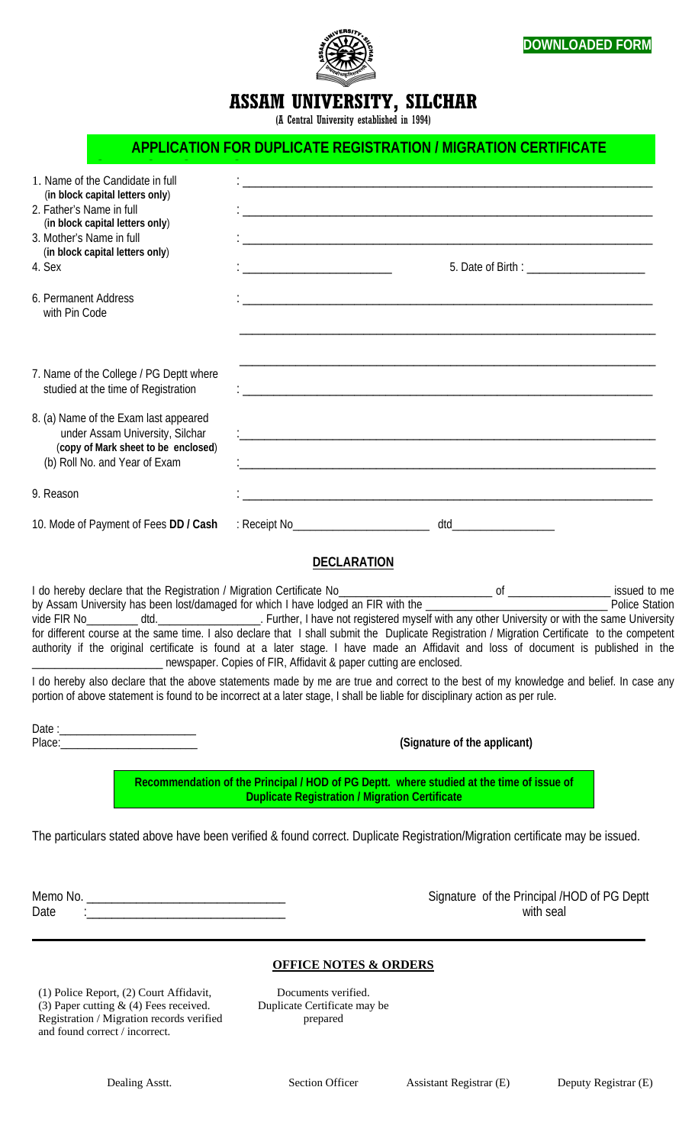



## **ASSAM UNIVERSITY, SILCHAR**

(A Central University established in 1994)

## **APPLICATION FOR DUPLICATE REGISTRATION / MIGRATION CERTIFICATE**

| 1. Name of the Candidate in full<br>(in block capital letters only)                                                                                                                                                                                                                                                                                                                                                              |                                                                   |                                                                                          |  |
|----------------------------------------------------------------------------------------------------------------------------------------------------------------------------------------------------------------------------------------------------------------------------------------------------------------------------------------------------------------------------------------------------------------------------------|-------------------------------------------------------------------|------------------------------------------------------------------------------------------|--|
| 2. Father's Name in full<br>(in block capital letters only)                                                                                                                                                                                                                                                                                                                                                                      |                                                                   |                                                                                          |  |
| 3. Mother's Name in full<br>(in block capital letters only)<br>4. Sex                                                                                                                                                                                                                                                                                                                                                            |                                                                   |                                                                                          |  |
| 6. Permanent Address<br>with Pin Code                                                                                                                                                                                                                                                                                                                                                                                            |                                                                   |                                                                                          |  |
| 7. Name of the College / PG Deptt where<br>studied at the time of Registration                                                                                                                                                                                                                                                                                                                                                   |                                                                   |                                                                                          |  |
| 8. (a) Name of the Exam last appeared<br>under Assam University, Silchar<br>(copy of Mark sheet to be enclosed)<br>(b) Roll No. and Year of Exam                                                                                                                                                                                                                                                                                 |                                                                   |                                                                                          |  |
| 9. Reason                                                                                                                                                                                                                                                                                                                                                                                                                        |                                                                   |                                                                                          |  |
| 10. Mode of Payment of Fees DD / Cash                                                                                                                                                                                                                                                                                                                                                                                            |                                                                   |                                                                                          |  |
|                                                                                                                                                                                                                                                                                                                                                                                                                                  | <b>DECLARATION</b>                                                |                                                                                          |  |
| vide FIR No________ dtd.____________________. Further, I have not registered myself with any other University or with the same University<br>for different course at the same time. I also declare that I shall submit the Duplicate Registration / Migration Certificate to the competent<br>authority if the original certificate is found at a later stage. I have made an Affidavit and loss of document is published in the | newspaper. Copies of FIR, Affidavit & paper cutting are enclosed. |                                                                                          |  |
| I do hereby also declare that the above statements made by me are true and correct to the best of my knowledge and belief. In case any<br>portion of above statement is found to be incorrect at a later stage, I shall be liable for disciplinary action as per rule.                                                                                                                                                           |                                                                   |                                                                                          |  |
|                                                                                                                                                                                                                                                                                                                                                                                                                                  | (Signature of the applicant)                                      |                                                                                          |  |
|                                                                                                                                                                                                                                                                                                                                                                                                                                  | <b>Duplicate Registration / Migration Certificate</b>             | Recommendation of the Principal / HOD of PG Deptt. where studied at the time of issue of |  |
| The particulars stated above have been verified & found correct. Duplicate Registration/Migration certificate may be issued.                                                                                                                                                                                                                                                                                                     |                                                                   |                                                                                          |  |
| Date                                                                                                                                                                                                                                                                                                                                                                                                                             |                                                                   | Signature of the Principal /HOD of PG Deptt<br>with seal                                 |  |
|                                                                                                                                                                                                                                                                                                                                                                                                                                  | <b>OFFICE NOTES &amp; ORDERS</b>                                  |                                                                                          |  |
| $(1)$ Police Report $(2)$ Court Affidavit                                                                                                                                                                                                                                                                                                                                                                                        | Documents verified                                                |                                                                                          |  |

(1) Police Report, (2) Court Affidavit, (3) Paper cutting & (4) Fees received. Registration / Migration records verified and found correct / incorrect.

Documents verified. Duplicate Certificate may be prepared